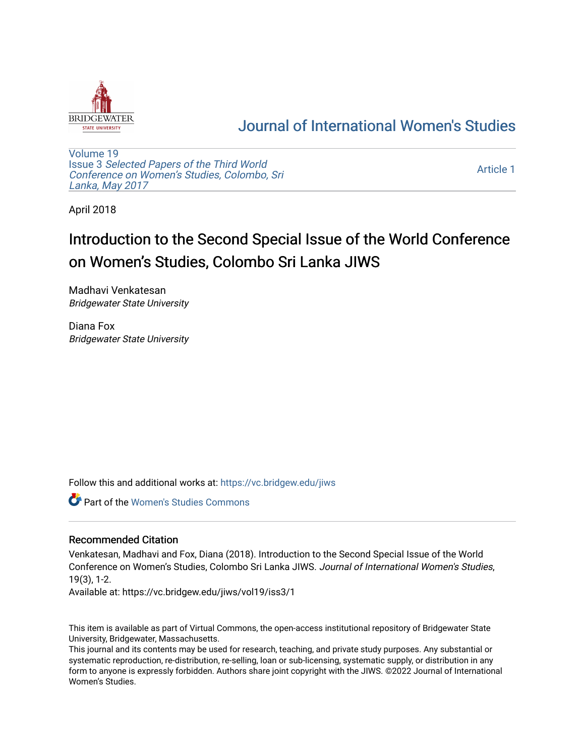

## [Journal of International Women's Studies](https://vc.bridgew.edu/jiws)

[Volume 19](https://vc.bridgew.edu/jiws/vol19) Issue 3 [Selected Papers of the Third World](https://vc.bridgew.edu/jiws/vol19/iss3) [Conference on Women's Studies, Colombo, Sri](https://vc.bridgew.edu/jiws/vol19/iss3)  [Lanka, May 2017](https://vc.bridgew.edu/jiws/vol19/iss3) 

[Article 1](https://vc.bridgew.edu/jiws/vol19/iss3/1) 

April 2018

## Introduction to the Second Special Issue of the World Conference on Women's Studies, Colombo Sri Lanka JIWS

Madhavi Venkatesan Bridgewater State University

Diana Fox Bridgewater State University

Follow this and additional works at: [https://vc.bridgew.edu/jiws](https://vc.bridgew.edu/jiws?utm_source=vc.bridgew.edu%2Fjiws%2Fvol19%2Fiss3%2F1&utm_medium=PDF&utm_campaign=PDFCoverPages)

**C** Part of the Women's Studies Commons

## Recommended Citation

Venkatesan, Madhavi and Fox, Diana (2018). Introduction to the Second Special Issue of the World Conference on Women's Studies, Colombo Sri Lanka JIWS. Journal of International Women's Studies, 19(3), 1-2.

Available at: https://vc.bridgew.edu/jiws/vol19/iss3/1

This item is available as part of Virtual Commons, the open-access institutional repository of Bridgewater State University, Bridgewater, Massachusetts.

This journal and its contents may be used for research, teaching, and private study purposes. Any substantial or systematic reproduction, re-distribution, re-selling, loan or sub-licensing, systematic supply, or distribution in any form to anyone is expressly forbidden. Authors share joint copyright with the JIWS. ©2022 Journal of International Women's Studies.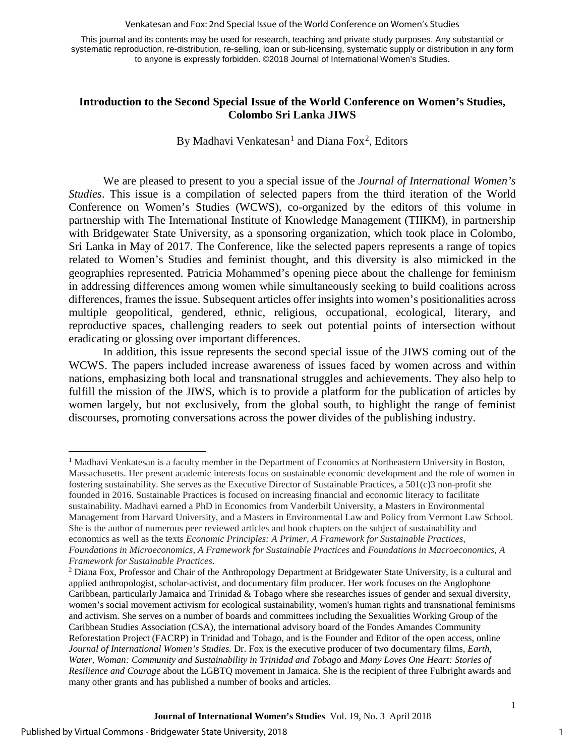Venkatesan and Fox: 2nd Special Issue of the World Conference on Women's Studies

This journal and its contents may be used for research, teaching and private study purposes. Any substantial or systematic reproduction, re-distribution, re-selling, loan or sub-licensing, systematic supply or distribution in any form to anyone is expressly forbidden. ©2018 Journal of International Women's Studies.

## **Introduction to the Second Special Issue of the World Conference on Women's Studies, Colombo Sri Lanka JIWS**

By Madhavi Venkatesan<sup>[1](#page-1-0)</sup> and Diana Fox<sup>[2](#page-1-1)</sup>, Editors

We are pleased to present to you a special issue of the *Journal of International Women's Studies*. This issue is a compilation of selected papers from the third iteration of the World Conference on Women's Studies (WCWS), co-organized by the editors of this volume in partnership with The International Institute of Knowledge Management (TIIKM), in partnership with Bridgewater State University, as a sponsoring organization, which took place in Colombo, Sri Lanka in May of 2017. The Conference, like the selected papers represents a range of topics related to Women's Studies and feminist thought, and this diversity is also mimicked in the geographies represented. Patricia Mohammed's opening piece about the challenge for feminism in addressing differences among women while simultaneously seeking to build coalitions across differences, frames the issue. Subsequent articles offer insights into women's positionalities across multiple geopolitical, gendered, ethnic, religious, occupational, ecological, literary, and reproductive spaces, challenging readers to seek out potential points of intersection without eradicating or glossing over important differences.

In addition, this issue represents the second special issue of the JIWS coming out of the WCWS. The papers included increase awareness of issues faced by women across and within nations, emphasizing both local and transnational struggles and achievements. They also help to fulfill the mission of the JIWS, which is to provide a platform for the publication of articles by women largely, but not exclusively, from the global south, to highlight the range of feminist discourses, promoting conversations across the power divides of the publishing industry.

l

1

<span id="page-1-0"></span><sup>&</sup>lt;sup>1</sup> Madhavi Venkatesan is a faculty member in the Department of Economics at Northeastern University in Boston, Massachusetts. Her present academic interests focus on sustainable economic development and the role of women in fostering sustainability. She serves as the Executive Director of Sustainable Practices, a 501(c)3 non-profit she founded in 2016. Sustainable Practices is focused on increasing financial and economic literacy to facilitate sustainability. Madhavi earned a PhD in Economics from Vanderbilt University, a Masters in Environmental Management from Harvard University, and a Masters in Environmental Law and Policy from Vermont Law School. She is the author of numerous peer reviewed articles and book chapters on the subject of sustainability and economics as well as the texts *Economic Principles: A Primer, A Framework for Sustainable Practices, Foundations in Microeconomics, A Framework for Sustainable Practices* and *Foundations in Macroeconomics, A Framework for Sustainable Practices*.

<span id="page-1-1"></span><sup>2</sup> Diana Fox, Professor and Chair of the Anthropology Department at Bridgewater State University, is a cultural and applied anthropologist, scholar-activist, and documentary film producer. Her work focuses on the Anglophone Caribbean, particularly Jamaica and Trinidad & Tobago where she researches issues of gender and sexual diversity, women's social movement activism for ecological sustainability, women's human rights and transnational feminisms and activism. She serves on a number of boards and committees including the Sexualities Working Group of the Caribbean Studies Association (CSA), the international advisory board of the Fondes Amandes Community Reforestation Project (FACRP) in Trinidad and Tobago, and is the Founder and Editor of the open access, online *Journal of International Women's Studies.* Dr. Fox is the executive producer of two documentary films, *Earth, Water, Woman: Community and Sustainability in Trinidad and Tobago* and *Many Loves One Heart: Stories of Resilience and Courage* about the LGBTQ movement in Jamaica. She is the recipient of three Fulbright awards and many other grants and has published a number of books and articles.